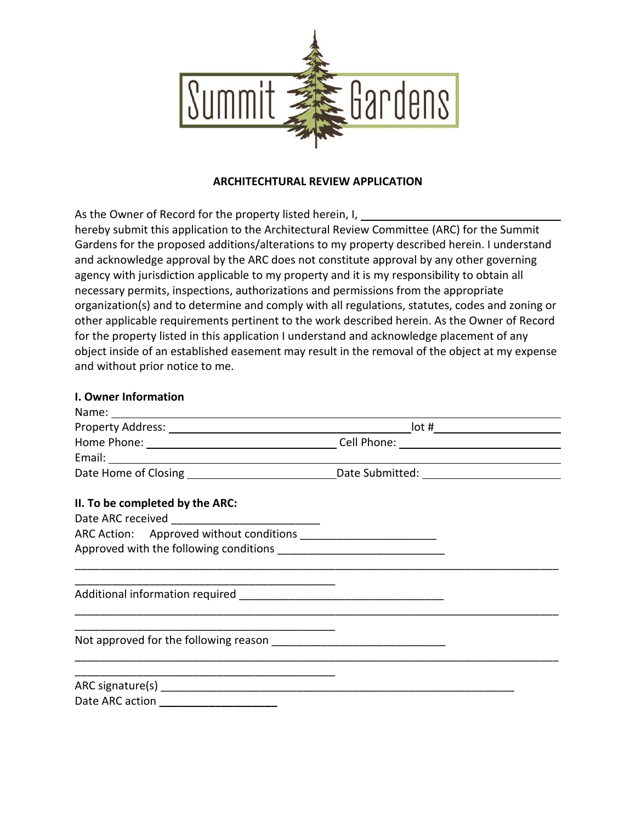

#### **ARCHITECHTURAL REVIEW APPLICATION**

As the Owner of Record for the property listed herein, I,

hereby submit this application to the Architectural Review Committee (ARC) for the Summit Gardens for the proposed additions/alterations to my property described herein. I understand and acknowledge approval by the ARC does not constitute approval by any other governing agency with jurisdiction applicable to my property and it is my responsibility to obtain all necessary permits, inspections, authorizations and permissions from the appropriate organization(s) and to determine and comply with all regulations, statutes, codes and zoning or other applicable requirements pertinent to the work described herein. As the Owner of Record for the property listed in this application I understand and acknowledge placement of any object inside of an established easement may result in the removal of the object at my expense and without prior notice to me.

### **I. Owner Information**

| Name: 1988 - 1988 - 1988 - 1988 - 1988 - 1988 - 1988 - 1988 - 1988 - 1988 - 1988 - 1988 - 1988 - 1988 - 1988 - |  |
|----------------------------------------------------------------------------------------------------------------|--|
|                                                                                                                |  |
|                                                                                                                |  |
|                                                                                                                |  |
|                                                                                                                |  |
| II. To be completed by the ARC:                                                                                |  |
|                                                                                                                |  |
| ARC Action: Approved without conditions _________________________                                              |  |
|                                                                                                                |  |
|                                                                                                                |  |
|                                                                                                                |  |
|                                                                                                                |  |
|                                                                                                                |  |
|                                                                                                                |  |
|                                                                                                                |  |
| Date ARC action ________________________                                                                       |  |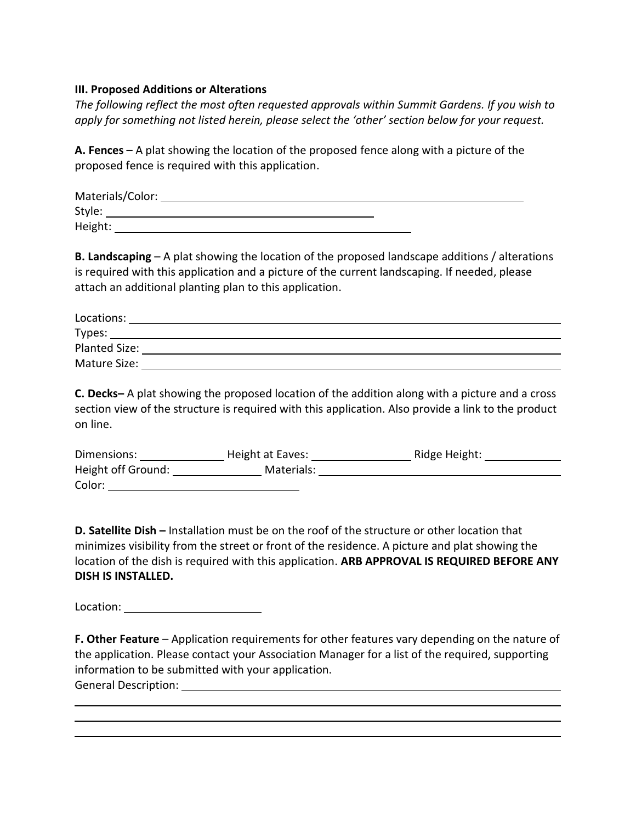#### **III. Proposed Additions or Alterations**

*The following reflect the most often requested approvals within Summit Gardens. If you wish to apply for something not listed herein, please select the 'other' section below for your request.* 

**A. Fences** – A plat showing the location of the proposed fence along with a picture of the proposed fence is required with this application.

| Materials/Color: |  |
|------------------|--|
| Style:           |  |
| Height:          |  |

**B. Landscaping** – A plat showing the location of the proposed landscape additions / alterations is required with this application and a picture of the current landscaping. If needed, please attach an additional planting plan to this application.

| Locations:    |  |
|---------------|--|
| Types:        |  |
| Planted Size: |  |
| Mature Size:  |  |

**C. Decks–** A plat showing the proposed location of the addition along with a picture and a cross section view of the structure is required with this application. Also provide a link to the product on line.

| Dimensions:        | Height at Eaves: | Ridge Height: |
|--------------------|------------------|---------------|
| Height off Ground: | Materials:       |               |
| Color:             |                  |               |

**D. Satellite Dish –** Installation must be on the roof of the structure or other location that minimizes visibility from the street or front of the residence. A picture and plat showing the location of the dish is required with this application. **ARB APPROVAL IS REQUIRED BEFORE ANY DISH IS INSTALLED.** 

Location:

**F. Other Feature** – Application requirements for other features vary depending on the nature of the application. Please contact your Association Manager for a list of the required, supporting information to be submitted with your application. General Description: University of the Contractor of General Assembly